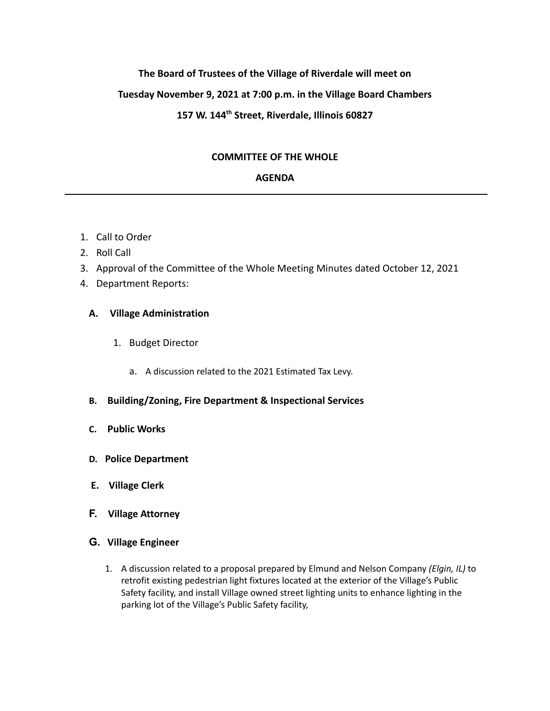# **The Board of Trustees of the Village of Riverdale will meet on**

# **Tuesday November 9, 2021 at 7:00 p.m. in the Village Board Chambers**

# **157 W. 144th Street, Riverdale, Illinois 60827**

## **COMMITTEE OF THE WHOLE**

## **AGENDA**

- 1. Call to Order
- 2. Roll Call
- 3. Approval of the Committee of the Whole Meeting Minutes dated October 12, 2021
- 4. Department Reports:

## **A. Village Administration**

- 1. Budget Director
	- a. A discussion related to the 2021 Estimated Tax Levy.
- **B. Building/Zoning, Fire Department & Inspectional Services**
- **C. Public Works**
- **D. Police Department**
- **E. Village Clerk**
- **F. Village Attorney**
- **G. Village Engineer**
	- 1. A discussion related to a proposal prepared by Elmund and Nelson Company *(Elgin, IL)* to retrofit existing pedestrian light fixtures located at the exterior of the Village's Public Safety facility, and install Village owned street lighting units to enhance lighting in the parking lot of the Village's Public Safety facility,